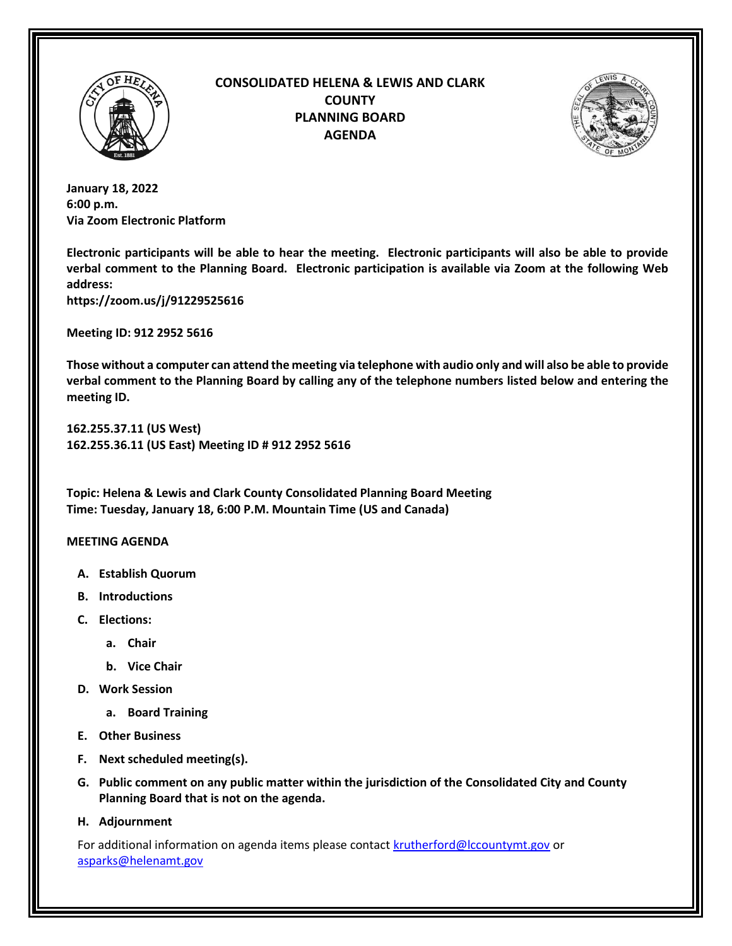

## **CONSOLIDATED HELENA & LEWIS AND CLARK COUNTY PLANNING BOARD AGENDA**



**January 18, 2022 6:00 p.m. Via Zoom Electronic Platform**

**Electronic participants will be able to hear the meeting. Electronic participants will also be able to provide verbal comment to the Planning Board. Electronic participation is available via Zoom at the following Web address:**

**https://zoom.us/j/91229525616**

**Meeting ID: 912 2952 5616**

**Those without a computer can attend the meeting via telephone with audio only and will also be able to provide verbal comment to the Planning Board by calling any of the telephone numbers listed below and entering the meeting ID.**

**162.255.37.11 (US West) 162.255.36.11 (US East) Meeting ID # 912 2952 5616**

**Topic: Helena & Lewis and Clark County Consolidated Planning Board Meeting Time: Tuesday, January 18, 6:00 P.M. Mountain Time (US and Canada)**

## **MEETING AGENDA**

- **A. Establish Quorum**
- **B. Introductions**
- **C. Elections:** 
	- **a. Chair**
	- **b. Vice Chair**
- **D. Work Session**
	- **a. Board Training**
- **E. Other Business**
- **F. Next scheduled meeting(s).**
- **G. Public comment on any public matter within the jurisdiction of the Consolidated City and County Planning Board that is not on the agenda.**
- **H. Adjournment**

For additional information on agenda items please contact **krutherford@lccountymt.gov** or [asparks@helenamt.gov](mailto:sreinhardt@helenamt.gov)